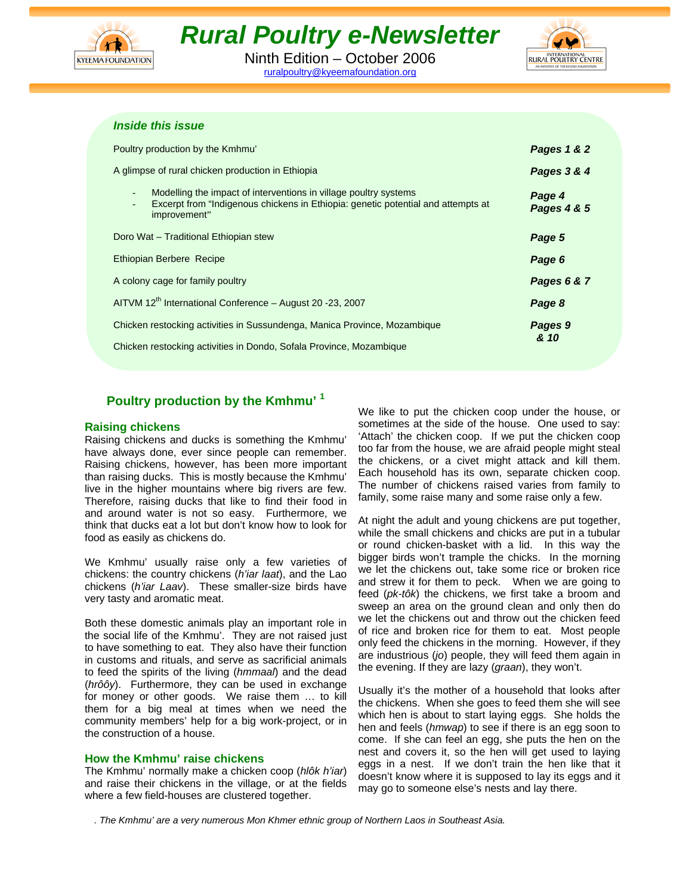

# *Rural Poultry e-Newsletter*

Ninth Edition – October 2006 ruralpoultry@kyeemafoundation.org



## *Inside this issue*

| Poultry production by the Kmhmu'                                                                                                                                                                                             | Pages 1 & 2           |  |  |
|------------------------------------------------------------------------------------------------------------------------------------------------------------------------------------------------------------------------------|-----------------------|--|--|
| A glimpse of rural chicken production in Ethiopia                                                                                                                                                                            | Pages 3 & 4           |  |  |
| Modelling the impact of interventions in village poultry systems<br>$\overline{\phantom{a}}$<br>Excerpt from "Indigenous chickens in Ethiopia: genetic potential and attempts at<br>$\overline{\phantom{a}}$<br>improvement" | Page 4<br>Pages 4 & 5 |  |  |
| Doro Wat - Traditional Ethiopian stew                                                                                                                                                                                        | Page 5                |  |  |
| Ethiopian Berbere Recipe                                                                                                                                                                                                     | Page 6                |  |  |
| A colony cage for family poultry                                                                                                                                                                                             | Pages 6 & 7           |  |  |
| AITVM 12 <sup>th</sup> International Conference - August 20 -23, 2007                                                                                                                                                        | Page 8                |  |  |
| Chicken restocking activities in Sussundenga, Manica Province, Mozambique                                                                                                                                                    | Pages 9               |  |  |
| Chicken restocking activities in Dondo, Sofala Province, Mozambique                                                                                                                                                          | & 10                  |  |  |

# **Poultry production by the Kmhmu' 1**

#### **Raising chickens**

Raising chickens and ducks is something the Kmhmu' have always done, ever since people can remember. Raising chickens, however, has been more important than raising ducks. This is mostly because the Kmhmu' live in the higher mountains where big rivers are few. Therefore, raising ducks that like to find their food in and around water is not so easy. Furthermore, we think that ducks eat a lot but don't know how to look for food as easily as chickens do.

We Kmhmu' usually raise only a few varieties of chickens: the country chickens (*h'iar laat*), and the Lao chickens (*h'iar Laav*). These smaller-size birds have very tasty and aromatic meat.

Both these domestic animals play an important role in the social life of the Kmhmu'. They are not raised just to have something to eat. They also have their function in customs and rituals, and serve as sacrificial animals to feed the spirits of the living (*hmmaal*) and the dead (*hrôôy*). Furthermore, they can be used in exchange for money or other goods. We raise them … to kill them for a big meal at times when we need the community members' help for a big work-project, or in the construction of a house.

## **How the Kmhmu' raise chickens**

The Kmhmu' normally make a chicken coop (*hlôk h'iar*) and raise their chickens in the village, or at the fields where a few field-houses are clustered together.

We like to put the chicken coop under the house, or sometimes at the side of the house. One used to say: 'Attach' the chicken coop. If we put the chicken coop too far from the house, we are afraid people might steal the chickens, or a civet might attack and kill them. Each household has its own, separate chicken coop. The number of chickens raised varies from family to family, some raise many and some raise only a few.

At night the adult and young chickens are put together, while the small chickens and chicks are put in a tubular or round chicken-basket with a lid. In this way the bigger birds won't trample the chicks. In the morning we let the chickens out, take some rice or broken rice and strew it for them to peck. When we are going to feed (*pk-tôk*) the chickens, we first take a broom and sweep an area on the ground clean and only then do we let the chickens out and throw out the chicken feed of rice and broken rice for them to eat. Most people only feed the chickens in the morning. However, if they are industrious (*jo*) people, they will feed them again in the evening. If they are lazy (*graan*), they won't.

Usually it's the mother of a household that looks after the chickens. When she goes to feed them she will see which hen is about to start laying eggs. She holds the hen and feels (*hmwap*) to see if there is an egg soon to come. If she can feel an egg, she puts the hen on the nest and covers it, so the hen will get used to laying eggs in a nest. If we don't train the hen like that it doesn't know where it is supposed to lay its eggs and it may go to someone else's nests and lay there.

*. The Kmhmu' are a very numerous Mon Khmer ethnic group of Northern Laos in Southeast Asia.*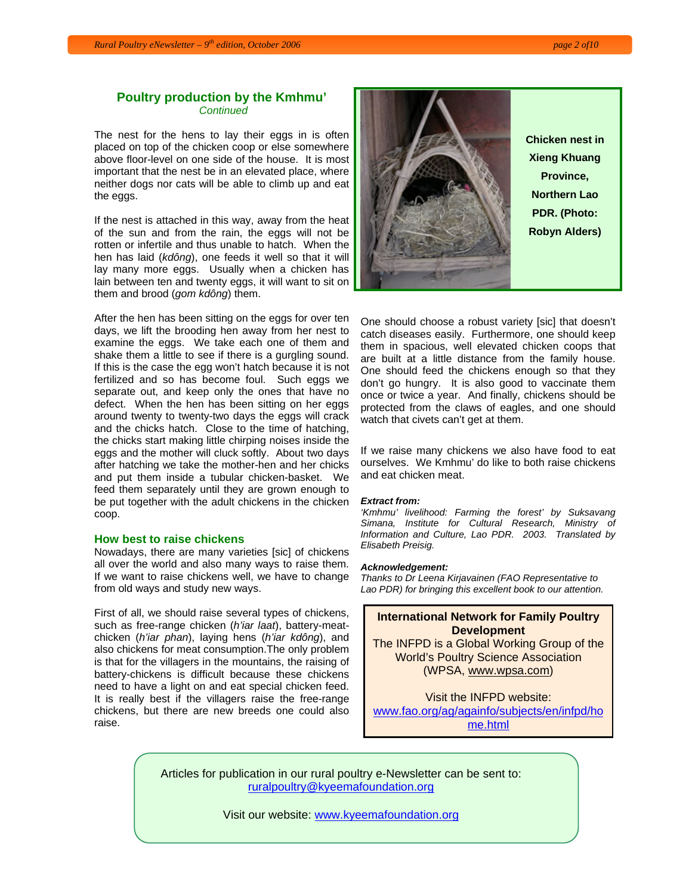## **Poultry production by the Kmhmu'**  *Continued*

The nest for the hens to lay their eggs in is often placed on top of the chicken coop or else somewhere above floor-level on one side of the house. It is most important that the nest be in an elevated place, where neither dogs nor cats will be able to climb up and eat the eggs.

If the nest is attached in this way, away from the heat of the sun and from the rain, the eggs will not be rotten or infertile and thus unable to hatch. When the hen has laid (*kdông*), one feeds it well so that it will lay many more eggs. Usually when a chicken has lain between ten and twenty eggs, it will want to sit on them and brood (*gom kdông*) them.

After the hen has been sitting on the eggs for over ten days, we lift the brooding hen away from her nest to examine the eggs. We take each one of them and shake them a little to see if there is a gurgling sound. If this is the case the egg won't hatch because it is not fertilized and so has become foul. Such eggs we separate out, and keep only the ones that have no defect. When the hen has been sitting on her eggs around twenty to twenty-two days the eggs will crack and the chicks hatch. Close to the time of hatching, the chicks start making little chirping noises inside the eggs and the mother will cluck softly. About two days after hatching we take the mother-hen and her chicks and put them inside a tubular chicken-basket. We feed them separately until they are grown enough to be put together with the adult chickens in the chicken coop.

#### **How best to raise chickens**

Nowadays, there are many varieties [sic] of chickens all over the world and also many ways to raise them. If we want to raise chickens well, we have to change from old ways and study new ways.

First of all, we should raise several types of chickens, such as free-range chicken (*h'iar laat*), battery-meatchicken (*h'iar phan*), laying hens (*h'iar kdông*), and also chickens for meat consumption.The only problem is that for the villagers in the mountains, the raising of battery-chickens is difficult because these chickens need to have a light on and eat special chicken feed. It is really best if the villagers raise the free-range chickens, but there are new breeds one could also raise.



**Xieng Khuang Northern Lao PDR. (Photo: Robyn Alders)** 

One should choose a robust variety [sic] that doesn't catch diseases easily. Furthermore, one should keep them in spacious, well elevated chicken coops that are built at a little distance from the family house. One should feed the chickens enough so that they don't go hungry. It is also good to vaccinate them once or twice a year. And finally, chickens should be protected from the claws of eagles, and one should watch that civets can't get at them.

If we raise many chickens we also have food to eat ourselves. We Kmhmu' do like to both raise chickens and eat chicken meat.

#### *Extract from:*

*'Kmhmu' livelihood: Farming the forest' by Suksavang Simana, Institute for Cultural Research, Ministry of Information and Culture, Lao PDR. 2003. Translated by Elisabeth Preisig.* 

#### *Acknowledgement:*

*Thanks to Dr Leena Kirjavainen (FAO Representative to Lao PDR) for bringing this excellent book to our attention.* 

#### **International Network for Family Poultry Development**

The INFPD is a Global Working Group of the World's Poultry Science Association (WPSA, www.wpsa.com)

Visit the INFPD website: www.fao.org/ag/againfo/subjects/en/infpd/ho me.html

Articles for publication in our rural poultry e-Newsletter can be sent to: ruralpoultry@kyeemafoundation.org

Visit our website: www.kyeemafoundation.org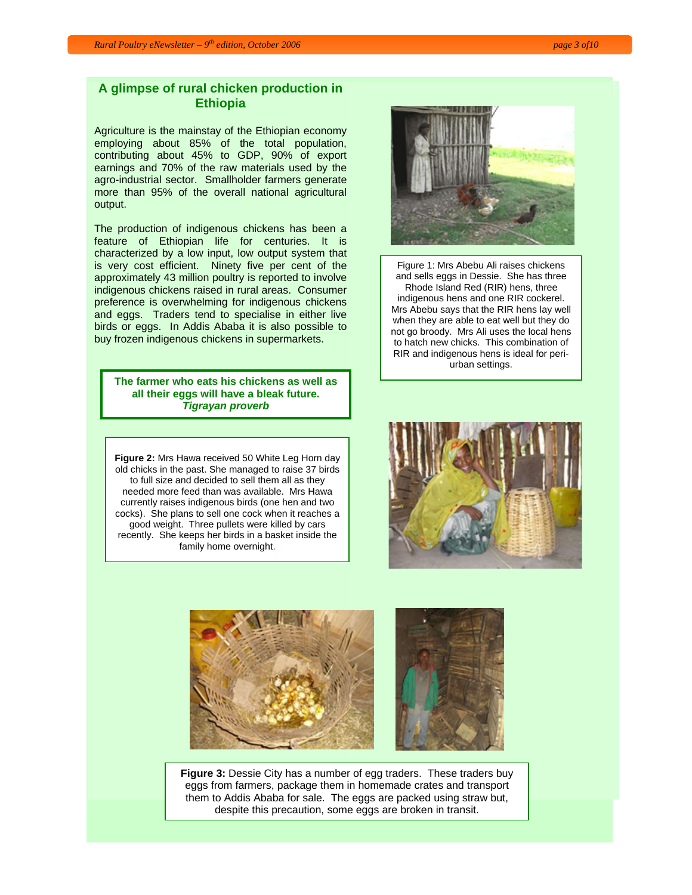# **A glimpse of rural chicken production in Ethiopia**

Agriculture is the mainstay of the Ethiopian economy employing about 85% of the total population, contributing about 45% to GDP, 90% of export earnings and 70% of the raw materials used by the agro-industrial sector. Smallholder farmers generate more than 95% of the overall national agricultural output.

The production of indigenous chickens has been a feature of Ethiopian life for centuries. It is characterized by a low input, low output system that is very cost efficient. Ninety five per cent of the approximately 43 million poultry is reported to involve indigenous chickens raised in rural areas. Consumer preference is overwhelming for indigenous chickens and eggs. Traders tend to specialise in either live birds or eggs. In Addis Ababa it is also possible to buy frozen indigenous chickens in supermarkets.

**The farmer who eats his chickens as well as all their eggs will have a bleak future.**  *Tigrayan proverb*

**Figure 2:** Mrs Hawa received 50 White Leg Horn day old chicks in the past. She managed to raise 37 birds to full size and decided to sell them all as they needed more feed than was available. Mrs Hawa currently raises indigenous birds (one hen and two cocks). She plans to sell one cock when it reaches a good weight. Three pullets were killed by cars recently. She keeps her birds in a basket inside the family home overnight.

Figure 1: Mrs Abebu Ali raises chickens and sells eggs in Dessie. She has three Rhode Island Red (RIR) hens, three indigenous hens and one RIR cockerel. Mrs Abebu says that the RIR hens lay well when they are able to eat well but they do not go broody. Mrs Ali uses the local hens to hatch new chicks. This combination of

RIR and indigenous hens is ideal for periurban settings.





**Figure 3:** Dessie City has a number of egg traders. These traders buy eggs from farmers, package them in homemade crates and transport them to Addis Ababa for sale. The eggs are packed using straw but, despite this precaution, some eggs are broken in transit.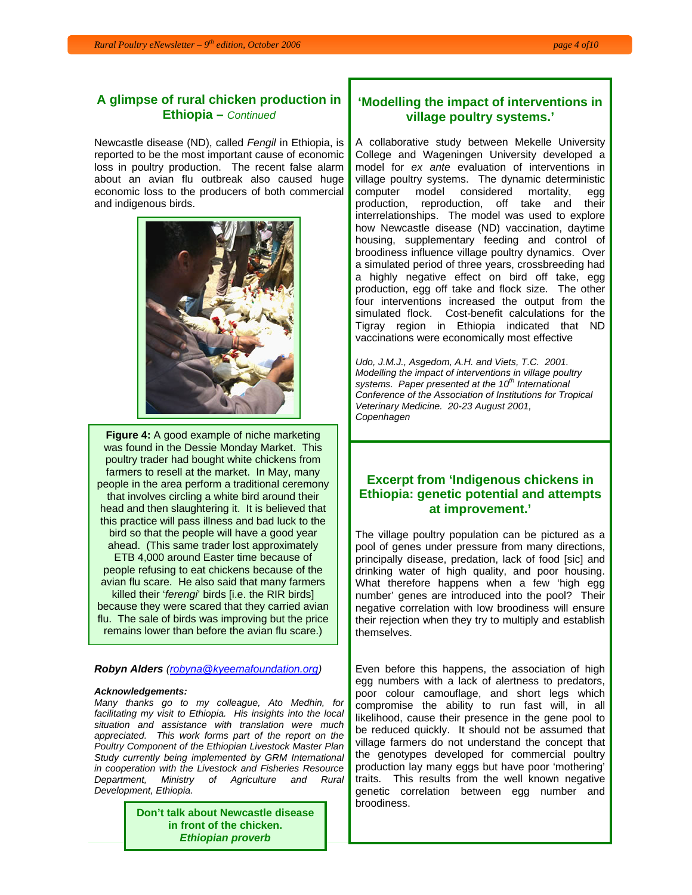# **A glimpse of rural chicken production in Ethiopia –** *Continued*

Newcastle disease (ND), called *Fengil* in Ethiopia, is reported to be the most important cause of economic loss in poultry production. The recent false alarm about an avian flu outbreak also caused huge economic loss to the producers of both commercial and indigenous birds.



**Figure 4:** A good example of niche marketing was found in the Dessie Monday Market. This poultry trader had bought white chickens from farmers to resell at the market. In May, many people in the area perform a traditional ceremony that involves circling a white bird around their head and then slaughtering it. It is believed that this practice will pass illness and bad luck to the bird so that the people will have a good year ahead. (This same trader lost approximately ETB 4,000 around Easter time because of people refusing to eat chickens because of the avian flu scare. He also said that many farmers killed their '*ferengi*' birds [i.e. the RIR birds] because they were scared that they carried avian flu. The sale of birds was improving but the price remains lower than before the avian flu scare.)

#### *Robyn Alders (robyna@kyeemafoundation.org)*

#### *Acknowledgements:*

*Many thanks go to my colleague, Ato Medhin, for facilitating my visit to Ethiopia. His insights into the local situation and assistance with translation were much appreciated. This work forms part of the report on the Poultry Component of the Ethiopian Livestock Master Plan Study currently being implemented by GRM International in cooperation with the Livestock and Fisheries Resource Department, Ministry of Agriculture and Rural Development, Ethiopia.*

> **Don't talk about Newcastle disease in front of the chicken.**  *Ethiopian proverb*

# **'Modelling the impact of interventions in village poultry systems.'**

A collaborative study between Mekelle University College and Wageningen University developed a model for *ex ante* evaluation of interventions in village poultry systems. The dynamic deterministic computer model considered mortality, egg production, reproduction, off take and their interrelationships. The model was used to explore how Newcastle disease (ND) vaccination, daytime housing, supplementary feeding and control of broodiness influence village poultry dynamics. Over a simulated period of three years, crossbreeding had a highly negative effect on bird off take, egg production, egg off take and flock size. The other four interventions increased the output from the simulated flock. Cost-benefit calculations for the Tigray region in Ethiopia indicated that ND vaccinations were economically most effective

*Udo, J.M.J., Asgedom, A.H. and Viets, T.C. 2001. Modelling the impact of interventions in village poultry systems. Paper presented at the 10th International Conference of the Association of Institutions for Tropical Veterinary Medicine. 20-23 August 2001, Copenhagen* 

## **Excerpt from 'Indigenous chickens in Ethiopia: genetic potential and attempts at improvement.'**

The village poultry population can be pictured as a pool of genes under pressure from many directions, principally disease, predation, lack of food [sic] and drinking water of high quality, and poor housing. What therefore happens when a few 'high egg number' genes are introduced into the pool? Their negative correlation with low broodiness will ensure their rejection when they try to multiply and establish themselves.

Even before this happens, the association of high egg numbers with a lack of alertness to predators, poor colour camouflage, and short legs which compromise the ability to run fast will, in all likelihood, cause their presence in the gene pool to be reduced quickly. It should not be assumed that village farmers do not understand the concept that the genotypes developed for commercial poultry production lay many eggs but have poor 'mothering' traits. This results from the well known negative genetic correlation between egg number and broodiness.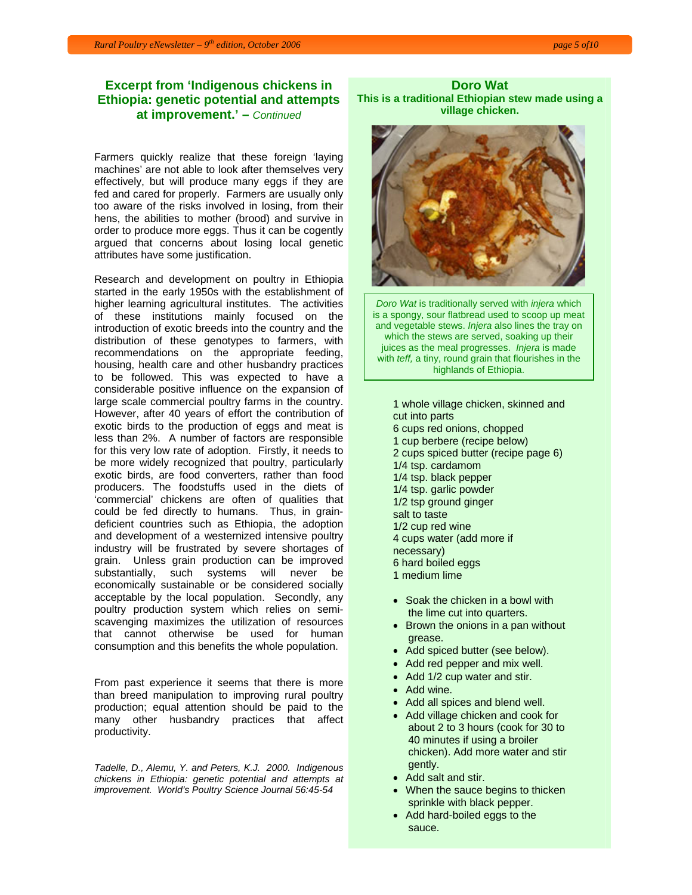## **Excerpt from 'Indigenous chickens in Ethiopia: genetic potential and attempts at improvement.' –** *Continued*

Farmers quickly realize that these foreign 'laying machines' are not able to look after themselves very effectively, but will produce many eggs if they are fed and cared for properly. Farmers are usually only too aware of the risks involved in losing, from their hens, the abilities to mother (brood) and survive in order to produce more eggs. Thus it can be cogently argued that concerns about losing local genetic attributes have some justification.

Research and development on poultry in Ethiopia started in the early 1950s with the establishment of higher learning agricultural institutes. The activities of these institutions mainly focused on the introduction of exotic breeds into the country and the distribution of these genotypes to farmers, with recommendations on the appropriate feeding, housing, health care and other husbandry practices to be followed. This was expected to have a considerable positive influence on the expansion of large scale commercial poultry farms in the country. However, after 40 years of effort the contribution of exotic birds to the production of eggs and meat is less than 2%. A number of factors are responsible for this very low rate of adoption. Firstly, it needs to be more widely recognized that poultry, particularly exotic birds, are food converters, rather than food producers. The foodstuffs used in the diets of 'commercial' chickens are often of qualities that could be fed directly to humans. Thus, in graindeficient countries such as Ethiopia, the adoption and development of a westernized intensive poultry industry will be frustrated by severe shortages of grain. Unless grain production can be improved substantially, such systems will never be economically sustainable or be considered socially acceptable by the local population. Secondly, any poultry production system which relies on semiscavenging maximizes the utilization of resources that cannot otherwise be used for human consumption and this benefits the whole population.

From past experience it seems that there is more than breed manipulation to improving rural poultry production; equal attention should be paid to the many other husbandry practices that affect productivity.

*Tadelle, D., Alemu, Y. and Peters, K.J. 2000. Indigenous chickens in Ethiopia: genetic potential and attempts at improvement. World's Poultry Science Journal 56:45-54*

**Doro Wat This is a traditional Ethiopian stew made using a village chicken.** 



*Doro Wat* is traditionally served with *injera* which is a spongy, sour flatbread used to scoop up meat and vegetable stews. *Injera* also lines the tray on which the stews are served, soaking up their juices as the meal progresses. *Injera* is made with *teff,* a tiny, round grain that flourishes in the highlands of Ethiopia.

1 whole village chicken, skinned and cut into parts 6 cups red onions, chopped 1 cup berbere (recipe below) 2 cups spiced butter (recipe page 6) 1/4 tsp. cardamom 1/4 tsp. black pepper 1/4 tsp. garlic powder 1/2 tsp ground ginger salt to taste 1/2 cup red wine 4 cups water (add more if necessary) 6 hard boiled eggs 1 medium lime

- Soak the chicken in a bowl with the lime cut into quarters.
- Brown the onions in a pan without grease.
- Add spiced butter (see below).
- Add red pepper and mix well.
- Add 1/2 cup water and stir.
- Add wine.
- Add all spices and blend well.
- Add village chicken and cook for about 2 to 3 hours (cook for 30 to 40 minutes if using a broiler chicken). Add more water and stir gently.
- Add salt and stir.
- When the sauce begins to thicken sprinkle with black pepper.
- Add hard-boiled eggs to the sauce.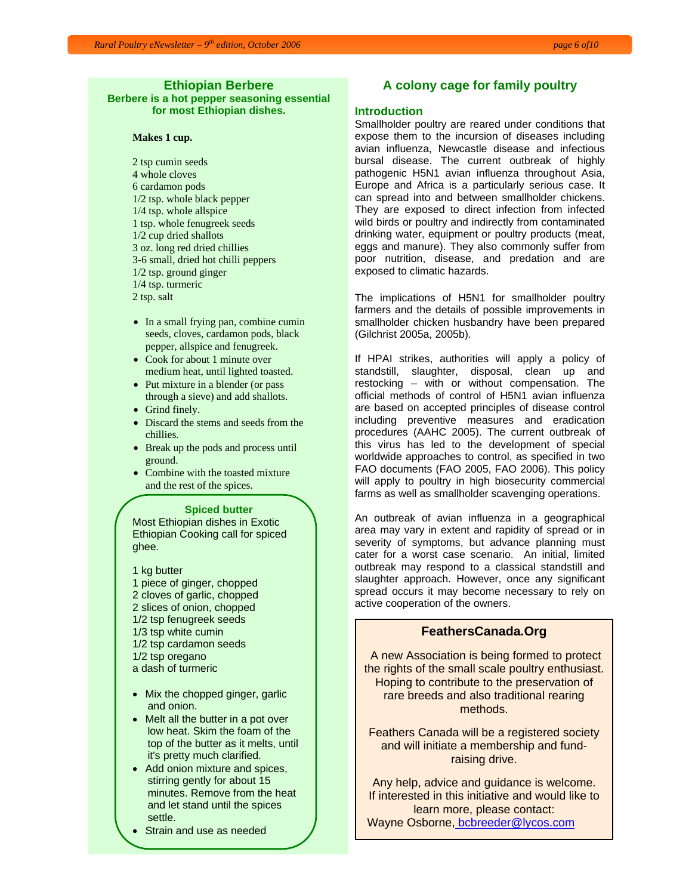# **Ethiopian Berbere**

**Berbere is a hot pepper seasoning essential for most Ethiopian dishes.** 

#### **Makes 1 cup.**

2 tsp cumin seeds 4 whole cloves 6 cardamon pods 1/2 tsp. whole black pepper 1/4 tsp. whole allspice 1 tsp. whole fenugreek seeds 1/2 cup dried shallots 3 oz. long red dried chillies 3-6 small, dried hot chilli peppers 1/2 tsp. ground ginger 1/4 tsp. turmeric 2 tsp. salt

- In a small frying pan, combine cumin seeds, cloves, cardamon pods, black pepper, allspice and fenugreek.
- Cook for about 1 minute over medium heat, until lighted toasted.
- Put mixture in a blender (or pass through a sieve) and add shallots.
- Grind finely.
- Discard the stems and seeds from the chillies.
- Break up the pods and process until ground.
- Combine with the toasted mixture and the rest of the spices.

#### **Spiced butter**

Most Ethiopian dishes in Exotic Ethiopian Cooking call for spiced ghee.

1 kg butter 1 piece of ginger, chopped 2 cloves of garlic, chopped 2 slices of onion, chopped 1/2 tsp fenugreek seeds 1/3 tsp white cumin 1/2 tsp cardamon seeds 1/2 tsp oregano a dash of turmeric

- Mix the chopped ginger, garlic and onion.
- Melt all the butter in a pot over low heat. Skim the foam of the top of the butter as it melts, until it's pretty much clarified.
- Add onion mixture and spices, stirring gently for about 15 minutes. Remove from the heat and let stand until the spices settle.
- Strain and use as needed

## **A colony cage for family poultry**

#### **Introduction**

Smallholder poultry are reared under conditions that expose them to the incursion of diseases including avian influenza, Newcastle disease and infectious bursal disease. The current outbreak of highly pathogenic H5N1 avian influenza throughout Asia, Europe and Africa is a particularly serious case. It can spread into and between smallholder chickens. They are exposed to direct infection from infected wild birds or poultry and indirectly from contaminated drinking water, equipment or poultry products (meat, eggs and manure). They also commonly suffer from poor nutrition, disease, and predation and are exposed to climatic hazards.

The implications of H5N1 for smallholder poultry farmers and the details of possible improvements in smallholder chicken husbandry have been prepared (Gilchrist 2005a, 2005b).

If HPAI strikes, authorities will apply a policy of standstill, slaughter, disposal, clean up and restocking – with or without compensation. The official methods of control of H5N1 avian influenza are based on accepted principles of disease control including preventive measures and eradication procedures (AAHC 2005). The current outbreak of this virus has led to the development of special worldwide approaches to control, as specified in two FAO documents (FAO 2005, FAO 2006). This policy will apply to poultry in high biosecurity commercial farms as well as smallholder scavenging operations.

An outbreak of avian influenza in a geographical area may vary in extent and rapidity of spread or in severity of symptoms, but advance planning must cater for a worst case scenario. An initial, limited outbreak may respond to a classical standstill and slaughter approach. However, once any significant spread occurs it may become necessary to rely on active cooperation of the owners.

## **FeathersCanada.Org**

 A new Association is being formed to protect the rights of the small scale poultry enthusiast. Hoping to contribute to the preservation of rare breeds and also traditional rearing methods.

Feathers Canada will be a registered society and will initiate a membership and fundraising drive.

Any help, advice and guidance is welcome. If interested in this initiative and would like to learn more, please contact: Wayne Osborne, bcbreeder@lycos.com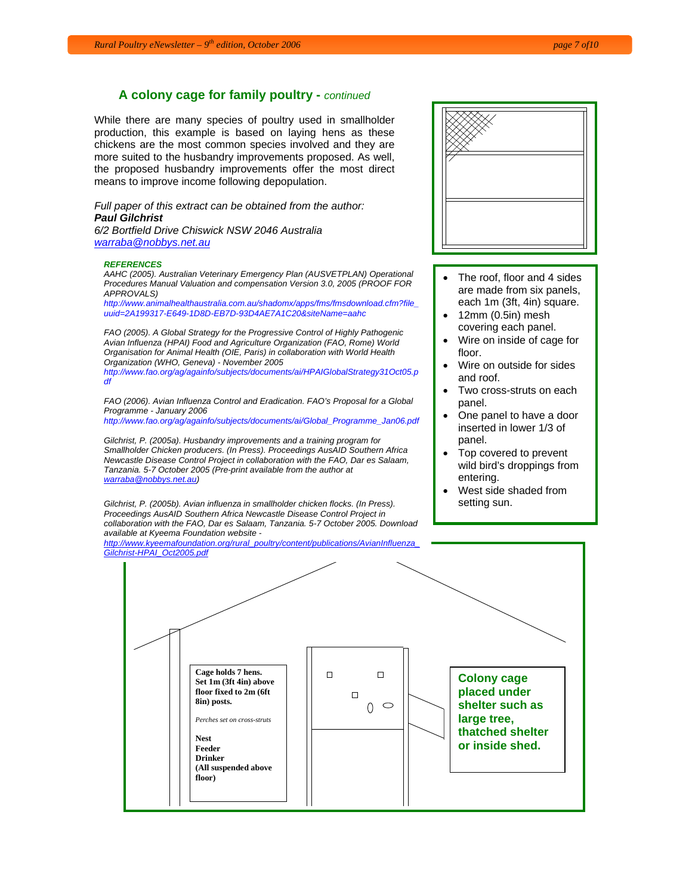## **A colony cage for family poultry -** *continued*

While there are many species of poultry used in smallholder production, this example is based on laying hens as these chickens are the most common species involved and they are more suited to the husbandry improvements proposed. As well, the proposed husbandry improvements offer the most direct means to improve income following depopulation.

*Full paper of this extract can be obtained from the author: Paul Gilchrist* 

*6/2 Bortfield Drive Chiswick NSW 2046 Australia warraba@nobbys.net.au*

#### *REFERENCES*

*AAHC (2005). Australian Veterinary Emergency Plan (AUSVETPLAN) Operational Procedures Manual Valuation and compensation Version 3.0, 2005 (PROOF FOR APPROVALS)*

*http://www.animalhealthaustralia.com.au/shadomx/apps/fms/fmsdownload.cfm?file\_ uuid=2A199317-E649-1D8D-EB7D-93D4AE7A1C20&siteName=aahc*

*FAO (2005). A Global Strategy for the Progressive Control of Highly Pathogenic Avian Influenza (HPAI) Food and Agriculture Organization (FAO, Rome) World Organisation for Animal Health (OIE, Paris) in collaboration with World Health Organization (WHO, Geneva) - November 2005* 

*http://www.fao.org/ag/againfo/subjects/documents/ai/HPAIGlobalStrategy31Oct05.p df*

*FAO (2006). Avian Influenza Control and Eradication. FAO's Proposal for a Global Programme - January 2006* 

*http://www.fao.org/ag/againfo/subjects/documents/ai/Global\_Programme\_Jan06.pdf*

*Gilchrist, P. (2005a). Husbandry improvements and a training program for Smallholder Chicken producers. (In Press). Proceedings AusAID Southern Africa Newcastle Disease Control Project in collaboration with the FAO, Dar es Salaam, Tanzania. 5-7 October 2005 (Pre-print available from the author at warraba@nobbys.net.au)* 

*Gilchrist, P. (2005b). Avian influenza in smallholder chicken flocks. (In Press). Proceedings AusAID Southern Africa Newcastle Disease Control Project in collaboration with the FAO, Dar es Salaam, Tanzania. 5-7 October 2005. Download available at Kyeema Foundation website -* 

*http://www.kyeemafoundation.org/rural\_poultry/content/publications/AvianInfluenza\_ Gilchrist-HPAI\_Oct2005.pdf*



- The roof, floor and 4 sides are made from six panels, each 1m (3ft, 4in) square.
- 12mm (0.5in) mesh covering each panel.
- Wire on inside of cage for floor.
- Wire on outside for sides and roof.
- Two cross-struts on each panel.
- One panel to have a door inserted in lower 1/3 of panel.
- Top covered to prevent wild bird's droppings from entering.
- West side shaded from setting sun.

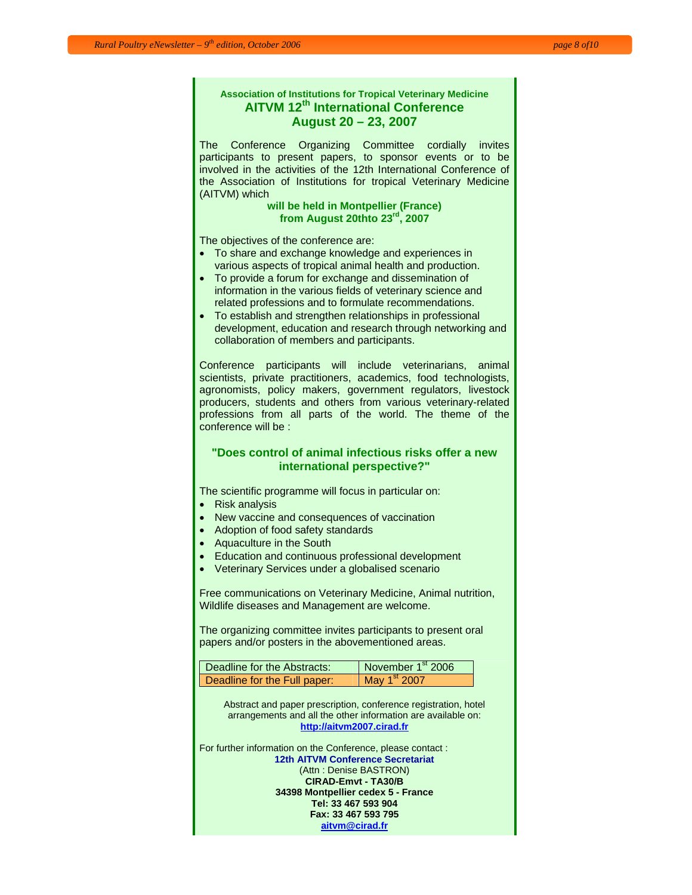# **Association of Institutions for Tropical Veterinary Medicine AITVM 12th International Conference August 20 – 23, 2007**

The Conference Organizing Committee cordially invites participants to present papers, to sponsor events or to be involved in the activities of the 12th International Conference of the Association of Institutions for tropical Veterinary Medicine (AITVM) which

#### **will be held in Montpellier (France) from August 20thto 23rd, 2007**

The objectives of the conference are:

- To share and exchange knowledge and experiences in various aspects of tropical animal health and production.
- To provide a forum for exchange and dissemination of information in the various fields of veterinary science and related professions and to formulate recommendations.
- To establish and strengthen relationships in professional development, education and research through networking and collaboration of members and participants.

Conference participants will include veterinarians, animal scientists, private practitioners, academics, food technologists, agronomists, policy makers, government regulators, livestock producers, students and others from various veterinary-related professions from all parts of the world. The theme of the conference will be :

## **"Does control of animal infectious risks offer a new international perspective?"**

The scientific programme will focus in particular on:

- Risk analysis
- New vaccine and consequences of vaccination
- Adoption of food safety standards
- Aquaculture in the South
- Education and continuous professional development
- Veterinary Services under a globalised scenario

Free communications on Veterinary Medicine, Animal nutrition, Wildlife diseases and Management are welcome.

The organizing committee invites participants to present oral papers and/or posters in the abovementioned areas.

| Deadline for the Abstracts:  | November 1 <sup>st</sup> 2006 |
|------------------------------|-------------------------------|
| Deadline for the Full paper: | May 1 <sup>st</sup> 2007      |

Abstract and paper prescription, conference registration, hotel arrangements and all the other information are available on: **http://aitvm2007.cirad.fr**

For further information on the Conference, please contact : **12th AITVM Conference Secretariat** (Attn : Denise BASTRON) **CIRAD-Emvt - TA30/B 34398 Montpellier cedex 5 - France Tel: 33 467 593 904 Fax: 33 467 593 795 aitvm@cirad.fr**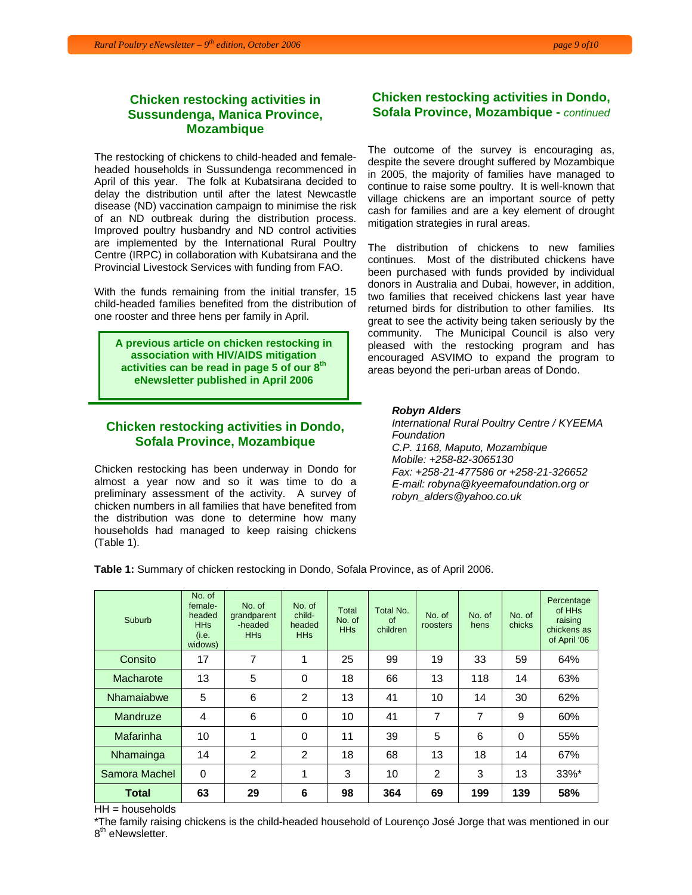The restocking of chickens to child-headed and femaleheaded households in Sussundenga recommenced in April of this year. The folk at Kubatsirana decided to delay the distribution until after the latest Newcastle disease (ND) vaccination campaign to minimise the risk of an ND outbreak during the distribution process. Improved poultry husbandry and ND control activities are implemented by the International Rural Poultry Centre (IRPC) in collaboration with Kubatsirana and the Provincial Livestock Services with funding from FAO.

With the funds remaining from the initial transfer, 15 child-headed families benefited from the distribution of one rooster and three hens per family in April.

**A previous article on chicken restocking in association with HIV/AIDS mitigation activities can be read in page 5 of our 8th eNewsletter published in April 2006** 

## **Chicken restocking activities in Dondo, Sofala Province, Mozambique**

Chicken restocking has been underway in Dondo for almost a year now and so it was time to do a preliminary assessment of the activity. A survey of chicken numbers in all families that have benefited from the distribution was done to determine how many households had managed to keep raising chickens (Table 1).

## **Chicken restocking activities in Dondo, Sofala Province, Mozambique -** *continued*

The outcome of the survey is encouraging as, despite the severe drought suffered by Mozambique in 2005, the majority of families have managed to continue to raise some poultry. It is well-known that village chickens are an important source of petty cash for families and are a key element of drought mitigation strategies in rural areas.

The distribution of chickens to new families continues. Most of the distributed chickens have been purchased with funds provided by individual donors in Australia and Dubai, however, in addition, two families that received chickens last year have returned birds for distribution to other families. Its great to see the activity being taken seriously by the community. The Municipal Council is also very pleased with the restocking program and has encouraged ASVIMO to expand the program to areas beyond the peri-urban areas of Dondo.

#### *Robyn Alders*

*International Rural Poultry Centre / KYEEMA Foundation C.P. 1168, Maputo, Mozambique Mobile: +258-82-3065130 Fax: +258-21-477586 or +258-21-326652 E-mail: robyna@kyeemafoundation.org or robyn\_alders@yahoo.co.uk* 

**Table 1:** Summary of chicken restocking in Dondo, Sofala Province, as of April 2006.

| Suburb        | No. of<br>female-<br>headed<br><b>HHs</b><br>(i.e.<br>widows) | No. of<br>grandparent<br>-headed<br><b>HHs</b> | No. of<br>child-<br>headed<br><b>HHs</b> | Total<br>No. of<br><b>HHs</b> | Total No.<br>of<br>children | No. of<br>roosters | No. of<br>hens | No. of<br>chicks | Percentage<br>of HH <sub>s</sub><br>raising<br>chickens as<br>of April '06 |
|---------------|---------------------------------------------------------------|------------------------------------------------|------------------------------------------|-------------------------------|-----------------------------|--------------------|----------------|------------------|----------------------------------------------------------------------------|
| Consito       | 17                                                            | 7                                              | 1                                        | 25                            | 99                          | 19                 | 33             | 59               | 64%                                                                        |
| Macharote     | 13                                                            | 5                                              | $\Omega$                                 | 18                            | 66                          | 13                 | 118            | 14               | 63%                                                                        |
| Nhamaiabwe    | 5                                                             | 6                                              | 2                                        | 13                            | 41                          | 10                 | 14             | 30               | 62%                                                                        |
| Mandruze      | 4                                                             | 6                                              | 0                                        | 10                            | 41                          | 7                  | 7              | 9                | 60%                                                                        |
| Mafarinha     | 10                                                            | 1                                              | $\Omega$                                 | 11                            | 39                          | 5                  | 6              | $\Omega$         | 55%                                                                        |
| Nhamainga     | 14                                                            | 2                                              | $\overline{2}$                           | 18                            | 68                          | 13                 | 18             | 14               | 67%                                                                        |
| Samora Machel | 0                                                             | $\overline{2}$                                 | 1                                        | 3                             | 10                          | 2                  | 3              | 13               | 33%*                                                                       |
| <b>Total</b>  | 63                                                            | 29                                             | 6                                        | 98                            | 364                         | 69                 | 199            | 139              | 58%                                                                        |

 $HH =$  households

\*The family raising chickens is the child-headed household of Lourenço José Jorge that was mentioned in our 8<sup>th</sup> eNewsletter.